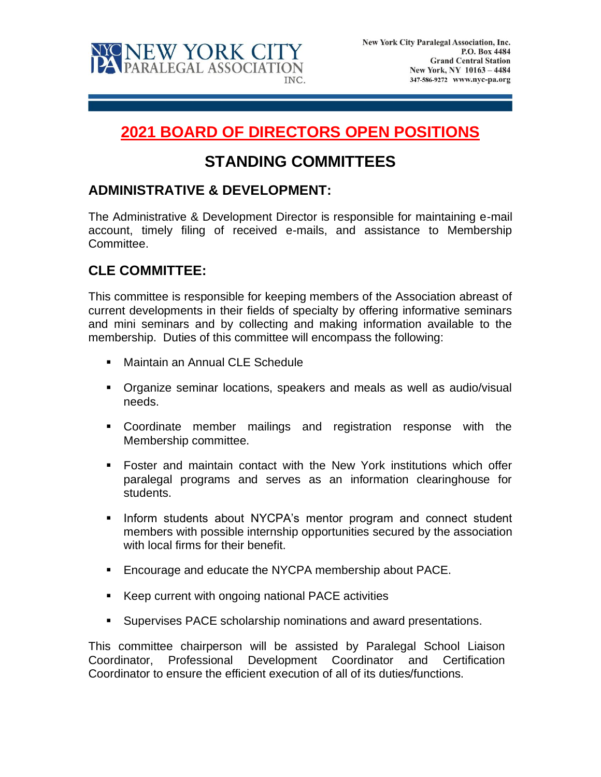

# **2021 BOARD OF DIRECTORS OPEN POSITIONS**

# **STANDING COMMITTEES**

### **ADMINISTRATIVE & DEVELOPMENT:**

The Administrative & Development Director is responsible for maintaining e-mail account, timely filing of received e-mails, and assistance to Membership Committee.

## **CLE COMMITTEE:**

This committee is responsible for keeping members of the Association abreast of current developments in their fields of specialty by offering informative seminars and mini seminars and by collecting and making information available to the membership. Duties of this committee will encompass the following:

- Maintain an Annual CLE Schedule
- Organize seminar locations, speakers and meals as well as audio/visual needs.
- Coordinate member mailings and registration response with the Membership committee.
- Foster and maintain contact with the New York institutions which offer paralegal programs and serves as an information clearinghouse for students.
- **■** Inform students about NYCPA's mentor program and connect student members with possible internship opportunities secured by the association with local firms for their benefit.
- Encourage and educate the NYCPA membership about PACE.
- Keep current with ongoing national PACE activities
- Supervises PACE scholarship nominations and award presentations.

This committee chairperson will be assisted by Paralegal School Liaison Coordinator, Professional Development Coordinator and Certification Coordinator to ensure the efficient execution of all of its duties/functions.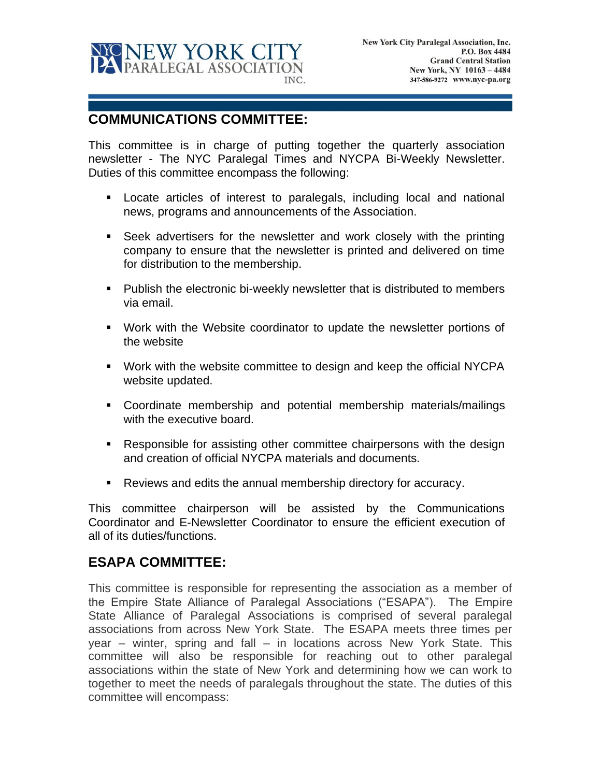

### **COMMUNICATIONS COMMITTEE:**

This committee is in charge of putting together the quarterly association newsletter - The NYC Paralegal Times and NYCPA Bi-Weekly Newsletter. Duties of this committee encompass the following:

- Locate articles of interest to paralegals, including local and national news, programs and announcements of the Association.
- **EXECT Seek advertisers for the newsletter and work closely with the printing** company to ensure that the newsletter is printed and delivered on time for distribution to the membership.
- Publish the electronic bi-weekly newsletter that is distributed to members via email.
- Work with the Website coordinator to update the newsletter portions of the website
- Work with the website committee to design and keep the official NYCPA website updated.
- Coordinate membership and potential membership materials/mailings with the executive board.
- Responsible for assisting other committee chairpersons with the design and creation of official NYCPA materials and documents.
- Reviews and edits the annual membership directory for accuracy.

This committee chairperson will be assisted by the Communications Coordinator and E-Newsletter Coordinator to ensure the efficient execution of all of its duties/functions.

#### **ESAPA COMMITTEE:**

This committee is responsible for representing the association as a member of the Empire State Alliance of Paralegal Associations ("ESAPA"). The Empire State Alliance of Paralegal Associations is comprised of several paralegal associations from across New York State. The ESAPA meets three times per year – winter, spring and fall – in locations across New York State. This committee will also be responsible for reaching out to other paralegal associations within the state of New York and determining how we can work to together to meet the needs of paralegals throughout the state. The duties of this committee will encompass: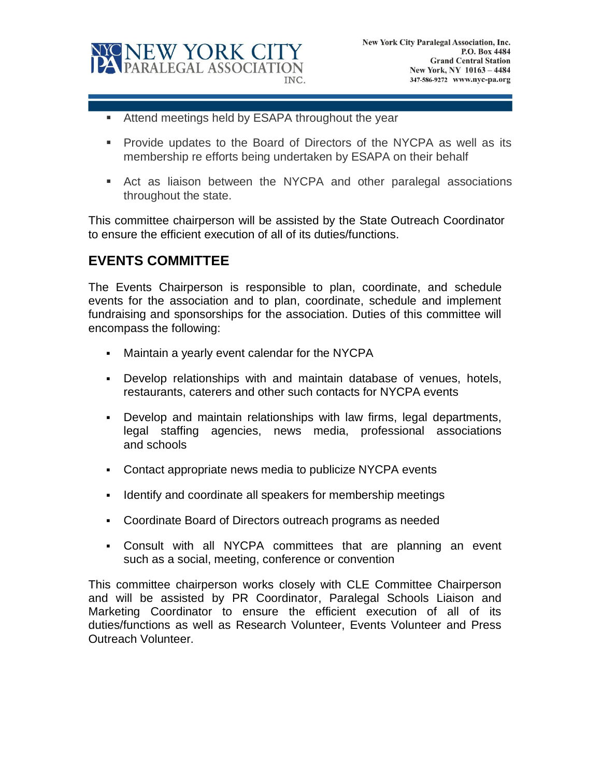

- Attend meetings held by ESAPA throughout the year
- **•** Provide updates to the Board of Directors of the NYCPA as well as its membership re efforts being undertaken by ESAPA on their behalf
- Act as liaison between the NYCPA and other paralegal associations throughout the state.

This committee chairperson will be assisted by the State Outreach Coordinator to ensure the efficient execution of all of its duties/functions.

#### **EVENTS COMMITTEE**

The Events Chairperson is responsible to plan, coordinate, and schedule events for the association and to plan, coordinate, schedule and implement fundraising and sponsorships for the association. Duties of this committee will encompass the following:

- Maintain a yearly event calendar for the NYCPA
- Develop relationships with and maintain database of venues, hotels, restaurants, caterers and other such contacts for NYCPA events
- Develop and maintain relationships with law firms, legal departments, legal staffing agencies, news media, professional associations and schools
- Contact appropriate news media to publicize NYCPA events
- **EXECT** Identify and coordinate all speakers for membership meetings
- Coordinate Board of Directors outreach programs as needed
- Consult with all NYCPA committees that are planning an event such as a social, meeting, conference or convention

This committee chairperson works closely with CLE Committee Chairperson and will be assisted by PR Coordinator, Paralegal Schools Liaison and Marketing Coordinator to ensure the efficient execution of all of its duties/functions as well as Research Volunteer, Events Volunteer and Press Outreach Volunteer.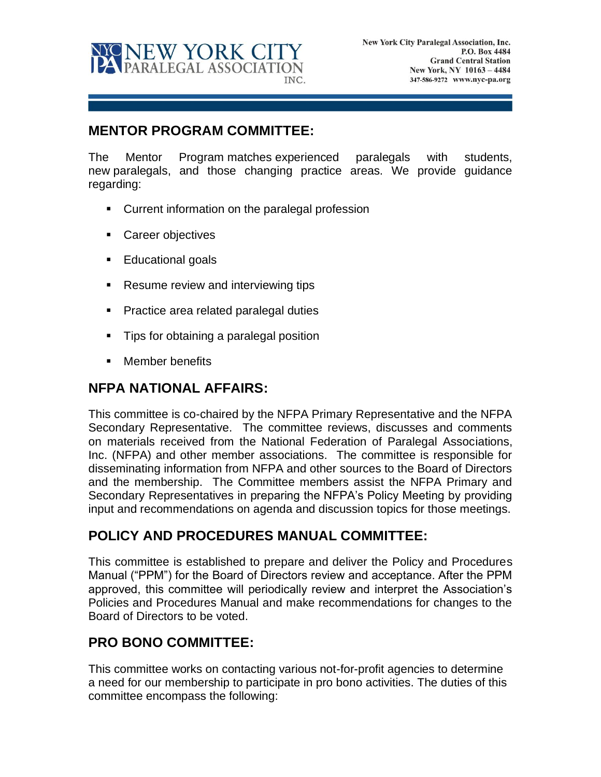

#### **MENTOR PROGRAM COMMITTEE:**

The Mentor Program matches experienced paralegals with students, new paralegals, and those changing practice areas. We provide guidance regarding:

- Current information on the paralegal profession
- Career objectives
- Educational goals
- Resume review and interviewing tips
- Practice area related paralegal duties
- Tips for obtaining a paralegal position
- Member benefits

#### **NFPA NATIONAL AFFAIRS:**

This committee is co-chaired by the NFPA Primary Representative and the NFPA Secondary Representative. The committee reviews, discusses and comments on materials received from the National Federation of Paralegal Associations, Inc. (NFPA) and other member associations. The committee is responsible for disseminating information from NFPA and other sources to the Board of Directors and the membership. The Committee members assist the NFPA Primary and Secondary Representatives in preparing the NFPA's Policy Meeting by providing input and recommendations on agenda and discussion topics for those meetings.

#### **POLICY AND PROCEDURES MANUAL COMMITTEE:**

This committee is established to prepare and deliver the Policy and Procedures Manual ("PPM") for the Board of Directors review and acceptance. After the PPM approved, this committee will periodically review and interpret the Association's Policies and Procedures Manual and make recommendations for changes to the Board of Directors to be voted.

## **PRO BONO COMMITTEE:**

This committee works on contacting various not-for-profit agencies to determine a need for our membership to participate in pro bono activities. The duties of this committee encompass the following: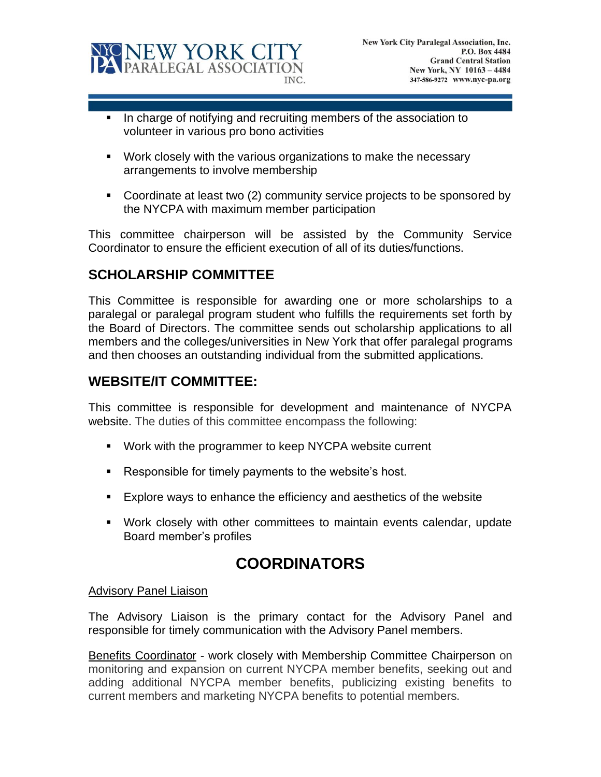

- In charge of notifying and recruiting members of the association to volunteer in various pro bono activities
- Work closely with the various organizations to make the necessary arrangements to involve membership
- Coordinate at least two (2) community service projects to be sponsored by the NYCPA with maximum member participation

This committee chairperson will be assisted by the Community Service Coordinator to ensure the efficient execution of all of its duties/functions.

#### **SCHOLARSHIP COMMITTEE**

This Committee is responsible for awarding one or more scholarships to a paralegal or paralegal program student who fulfills the requirements set forth by the Board of Directors. The committee sends out scholarship applications to all members and the colleges/universities in New York that offer paralegal programs and then chooses an outstanding individual from the submitted applications.

### **WEBSITE/IT COMMITTEE:**

This committee is responsible for development and maintenance of NYCPA website. The duties of this committee encompass the following:

- Work with the programmer to keep NYCPA website current
- Responsible for timely payments to the website's host.
- Explore ways to enhance the efficiency and aesthetics of the website
- Work closely with other committees to maintain events calendar, update Board member's profiles

# **COORDINATORS**

#### Advisory Panel Liaison

The Advisory Liaison is the primary contact for the Advisory Panel and responsible for timely communication with the Advisory Panel members.

Benefits Coordinator - work closely with Membership Committee Chairperson on monitoring and expansion on current NYCPA member benefits, seeking out and adding additional NYCPA member benefits, publicizing existing benefits to current members and marketing NYCPA benefits to potential members.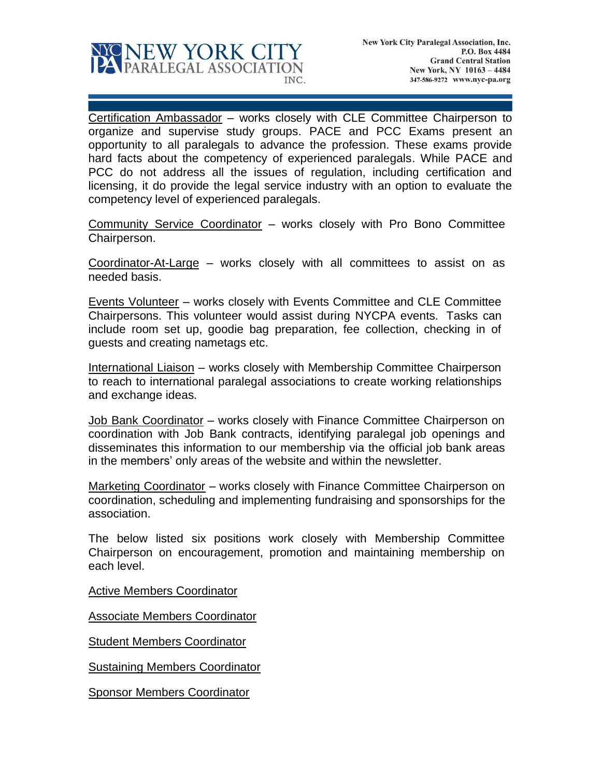

Certification Ambassador – works closely with CLE Committee Chairperson to organize and supervise study groups. PACE and PCC Exams present an opportunity to all paralegals to advance the profession. These exams provide hard facts about the competency of experienced paralegals. While PACE and PCC do not address all the issues of regulation, including certification and licensing, it do provide the legal service industry with an option to evaluate the competency level of experienced paralegals.

Community Service Coordinator – works closely with Pro Bono Committee Chairperson.

Coordinator-At-Large – works closely with all committees to assist on as needed basis.

Events Volunteer – works closely with Events Committee and CLE Committee Chairpersons. This volunteer would assist during NYCPA events. Tasks can include room set up, goodie bag preparation, fee collection, checking in of guests and creating nametags etc.

International Liaison – works closely with Membership Committee Chairperson to reach to international paralegal associations to create working relationships and exchange ideas.

Job Bank Coordinator - works closely with Finance Committee Chairperson on coordination with Job Bank contracts, identifying paralegal job openings and disseminates this information to our membership via the official job bank areas in the members' only areas of the website and within the newsletter.

Marketing Coordinator – works closely with Finance Committee Chairperson on coordination, scheduling and implementing fundraising and sponsorships for the association.

The below listed six positions work closely with Membership Committee Chairperson on encouragement, promotion and maintaining membership on each level.

Active Members Coordinator

Associate Members Coordinator

**Student Members Coordinator** 

Sustaining Members Coordinator

Sponsor Members Coordinator